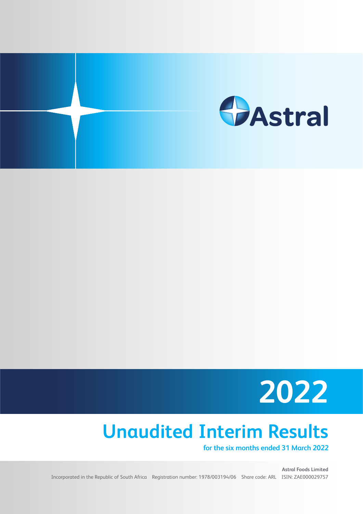



# **Unaudited Interim Results**

**for the six months ended 31 March 2022**

**Astral Foods Limited** Incorporated in the Republic of South Africa Registration number: 1978/003194/06 Share code: ARL ISIN: ZAE000029757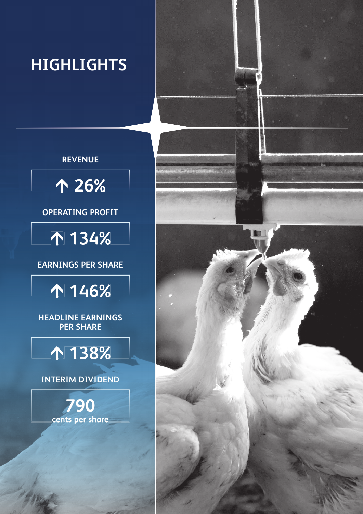# **HIGHLIGHTS**

## **REVENUE**



### **OPERATING PROFIT**



### **EARNINGS PER SHARE**

# **146%**

**HEADLINE EARNINGS PER SHARE** 

# **138%**

**INTERIM DIVIDEND** 

**790 cents per share**

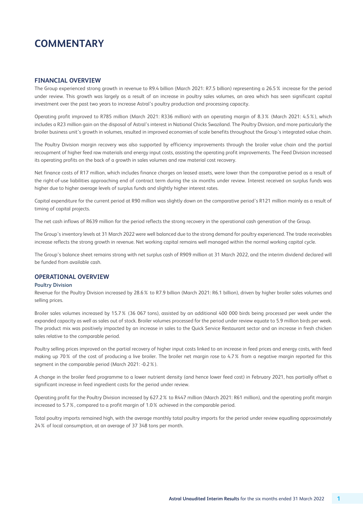## **COMMENTARY**

### **FINANCIAL OVERVIEW**

The Group experienced strong growth in revenue to R9.4 billion (March 2021: R7.5 billion) representing a 26.5% increase for the period under review. This growth was largely as a result of an increase in poultry sales volumes, an area which has seen significant capital investment over the past two years to increase Astral's poultry production and processing capacity.

Operating profit improved to R785 million (March 2021: R336 million) with an operating margin of 8.3% (March 2021: 4.5%), which includes a R23 million gain on the disposal of Astral's interest in National Chicks Swaziland. The Poultry Division, and more particularly the broiler business unit's growth in volumes, resulted in improved economies of scale benefits throughout the Group's integrated value chain.

The Poultry Division margin recovery was also supported by efficiency improvements through the broiler value chain and the partial recoupment of higher feed raw materials and energy input costs, assisting the operating profit improvements. The Feed Division increased its operating profits on the back of a growth in sales volumes and raw material cost recovery.

Net finance costs of R17 million, which includes finance charges on leased assets, were lower than the comparative period as a result of the right-of-use liabilities approaching end of contract term during the six months under review. Interest received on surplus funds was higher due to higher average levels of surplus funds and slightly higher interest rates.

Capital expenditure for the current period at R90 million was slightly down on the comparative period's R121 million mainly as a result of timing of capital projects.

The net cash inflows of R639 million for the period reflects the strong recovery in the operational cash generation of the Group.

The Group's inventory levels at 31 March 2022 were well balanced due to the strong demand for poultry experienced. The trade receivables increase reflects the strong growth in revenue. Net working capital remains well managed within the normal working capital cycle.

The Group's balance sheet remains strong with net surplus cash of R909 million at 31 March 2022, and the interim dividend declared will be funded from available cash.

### **OPERATIONAL OVERVIEW**

### **Poultry Division**

Revenue for the Poultry Division increased by 28.6% to R7.9 billion (March 2021: R6.1 billion), driven by higher broiler sales volumes and selling prices.

Broiler sales volumes increased by 15.7% (36 067 tons), assisted by an additional 400 000 birds being processed per week under the expanded capacity as well as sales out of stock. Broiler volumes processed for the period under review equate to 5.9 million birds per week. The product mix was positively impacted by an increase in sales to the Quick Service Restaurant sector and an increase in fresh chicken sales relative to the comparable period.

Poultry selling prices improved on the partial recovery of higher input costs linked to an increase in feed prices and energy costs, with feed making up 70% of the cost of producing a live broiler. The broiler net margin rose to 4.7% from a negative margin reported for this segment in the comparable period (March 2021: -0.2%).

A change in the broiler feed programme to a lower nutrient density (and hence lower feed cost) in February 2021, has partially offset a significant increase in feed ingredient costs for the period under review.

Operating profit for the Poultry Division increased by 627.2% to R447 million (March 2021: R61 million), and the operating profit margin increased to 5.7%, compared to a profit margin of 1.0% achieved in the comparable period.

Total poultry imports remained high, with the average monthly total poultry imports for the period under review equalling approximately 24% of local consumption, at an average of 37 348 tons per month.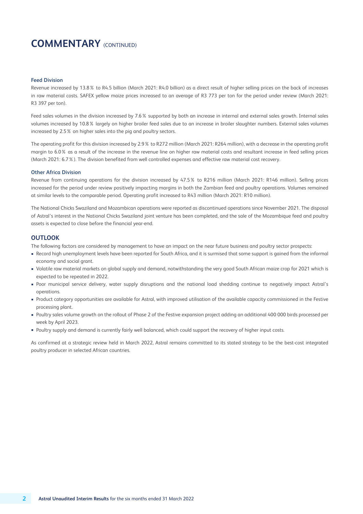### **COMMENTARY** (CONTINUED)

#### **Feed Division**

Revenue increased by 13.8% to R4.5 billion (March 2021: R4.0 billion) as a direct result of higher selling prices on the back of increases in raw material costs. SAFEX yellow maize prices increased to an average of R3 773 per ton for the period under review (March 2021: R3 397 per ton).

Feed sales volumes in the division increased by 7.6% supported by both an increase in internal and external sales growth. Internal sales volumes increased by 10.8% largely on higher broiler feed sales due to an increase in broiler slaughter numbers. External sales volumes increased by 2.5% on higher sales into the pig and poultry sectors.

The operating profit for this division increased by 2.9% to R272 million (March 2021: R264 million), with a decrease in the operating profit margin to 6.0% as a result of the increase in the revenue line on higher raw material costs and resultant increase in feed selling prices (March 2021: 6.7%). The division benefited from well controlled expenses and effective raw material cost recovery.

#### **Other Africa Division**

Revenue from continuing operations for the division increased by 47.5% to R216 million (March 2021: R146 million). Selling prices increased for the period under review positively impacting margins in both the Zambian feed and poultry operations. Volumes remained at similar levels to the comparable period. Operating profit increased to R43 million (March 2021: R10 million).

The National Chicks Swaziland and Mozambican operations were reported as discontinued operations since November 2021. The disposal of Astral's interest in the National Chicks Swaziland joint venture has been completed, and the sale of the Mozambique feed and poultry assets is expected to close before the financial year-end.

### **OUTLOOK**

The following factors are considered by management to have an impact on the near future business and poultry sector prospects:

- Record high unemployment levels have been reported for South Africa, and it is surmised that some support is gained from the informal economy and social grant.
- Volatile raw material markets on global supply and demand, notwithstanding the very good South African maize crop for 2021 which is expected to be repeated in 2022.
- Poor municipal service delivery, water supply disruptions and the national load shedding continue to negatively impact Astral's operations.
- Product category opportunities are available for Astral, with improved utilisation of the available capacity commissioned in the Festive processing plant.
- Poultry sales volume growth on the rollout of Phase 2 of the Festive expansion project adding an additional 400 000 birds processed per week by April 2023.
- Poultry supply and demand is currently fairly well balanced, which could support the recovery of higher input costs.

As confirmed at a strategic review held in March 2022, Astral remains committed to its stated strategy to be the best-cost integrated poultry producer in selected African countries.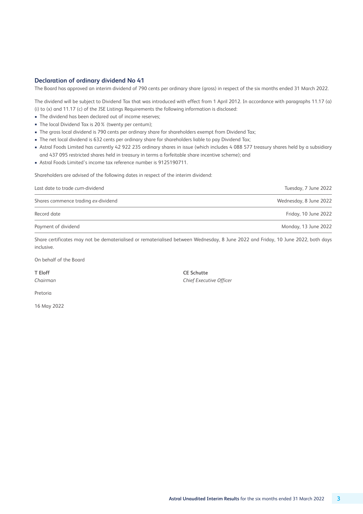### **Declaration of ordinary dividend No 41**

The Board has approved an interim dividend of 790 cents per ordinary share (gross) in respect of the six months ended 31 March 2022.

The dividend will be subject to Dividend Tax that was introduced with effect from 1 April 2012. In accordance with paragraphs 11.17 (a) (i) to (x) and 11.17 (c) of the JSE Listings Requirements the following information is disclosed:

- The dividend has been declared out of income reserves;
- The local Dividend Tax is 20% (twenty per centum);
- The gross local dividend is 790 cents per ordinary share for shareholders exempt from Dividend Tax;
- The net local dividend is 632 cents per ordinary share for shareholders liable to pay Dividend Tax;
- Astral Foods Limited has currently 42 922 235 ordinary shares in issue (which includes 4 088 577 treasury shares held by a subsidiary and 437 095 restricted shares held in treasury in terms a forfeitable share incentive scheme); and
- Astral Foods Limited's income tax reference number is 9125190711.

Shareholders are advised of the following dates in respect of the interim dividend:

| Last date to trade cum-dividend     | Tuesday, 7 June 2022   |
|-------------------------------------|------------------------|
| Shares commence trading ex-dividend | Wednesday, 8 June 2022 |
| Record date                         | Friday, 10 June 2022   |
| Payment of dividend                 | Monday, 13 June 2022   |

Share certificates may not be dematerialised or rematerialised between Wednesday, 8 June 2022 and Friday, 10 June 2022, both days inclusive.

On behalf of the Board

**T Eloff CE Schutte**

*Chairman Chief Executive Officer*

Pretoria

16 May 2022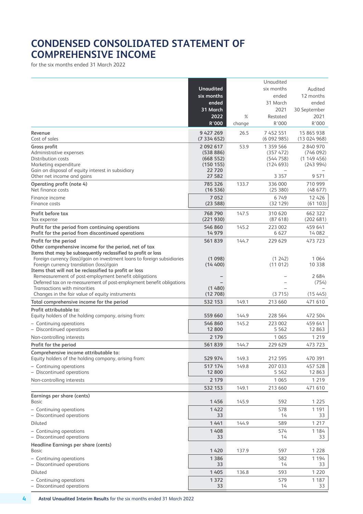## **CONDENSED CONSOLIDATED STATEMENT OF COMPREHENSIVE INCOME**

for the six months ended 31 March 2022

|                                                                                                   |                            |        | Unaudited              |                          |
|---------------------------------------------------------------------------------------------------|----------------------------|--------|------------------------|--------------------------|
|                                                                                                   | <b>Unaudited</b>           |        | six months             | Audited                  |
|                                                                                                   | six months                 |        | ended                  | 12 months                |
|                                                                                                   | ended                      |        | 31 March               | ended                    |
|                                                                                                   | 31 March                   |        | 2021                   | 30 September             |
|                                                                                                   | 2022                       | %      | Restated               | 2021                     |
|                                                                                                   | R'000                      | change | R'000                  | R'000                    |
| Revenue<br>Cost of sales                                                                          | 9 4 2 7 2 6 9<br>(7334652) | 26.5   | 7 452 551<br>(6092985) | 15 865 938<br>(13024968) |
| Gross profit                                                                                      | 2 092 617                  | 53.9   | 1 359 566              | 2840970                  |
| Administrative expenses                                                                           | (538 886)                  |        | (357 472)              | (746092)                 |
| Distribution costs                                                                                | (668552)                   |        | (544758)               | (1149456)                |
| Marketing expenditure<br>Gain on disposal of equity interest in subsidiary                        | (150 155)<br>22720         |        | (124693)               | (243994)                 |
| Other net income and gains                                                                        | 27 582                     |        | 3 3 5 7                | 9 5 7 1                  |
| <b>Operating profit (note 4)</b>                                                                  | 785 326                    | 133.7  | 336 000                | 710 999                  |
| Net finance costs                                                                                 | (16536)                    |        | (25380)                | (48677)                  |
| Finance income                                                                                    | 7052                       |        | 6749                   | 12 4 26                  |
| Finance costs                                                                                     | (23588)                    |        | (32129)                | (61103)                  |
| Profit before tax                                                                                 | 768 790                    | 147.5  | 310 620                | 662 322                  |
| Tax expense                                                                                       | (221930)                   |        | (87618)                | (202681)                 |
| Profit for the period from continuing operations                                                  | 546 860                    | 145.2  | 223 002                | 459 641                  |
| Profit for the period from discontinued operations                                                | 14 979                     |        | 6 6 2 7                | 14 082                   |
| Profit for the period                                                                             | 561839                     | 144.7  | 229 629                | 473 723                  |
| Other comprehensive income for the period, net of tax                                             |                            |        |                        |                          |
| Items that may be subsequently reclassified to profit or loss                                     |                            |        |                        |                          |
| Foreign currency (loss)/gain on investment loans to foreign subsidiaries                          | (1098)                     |        | (1 242)                | 1 0 6 4                  |
| Foreign currency translation (loss)/gain<br>Items that will not be reclassified to profit or loss | (14 400)                   |        | (11012)                | 10 3 3 8                 |
| Remeasurement of post-employment benefit obligations                                              |                            |        |                        | 2684                     |
| Deferred tax on re-measurement of post-employment benefit obligations                             |                            |        |                        | (754)                    |
| Transactions with minorities                                                                      | (1480)                     |        |                        |                          |
| Changes in the fair value of equity instruments                                                   | (12708)                    |        | (3715)                 | (15445)                  |
| Total comprehensive income for the period                                                         | 532 153                    | 149.1  | 213 660                | 471 610                  |
| Profit attributable to:                                                                           |                            | 144.9  | 228 564                | 472 504                  |
| Equity holders of the holding company, arising from:                                              | 559 660                    |        |                        |                          |
| - Continuing operations<br>- Discontinued operations                                              | 546 860<br>12 800          | 145.2  | 223 002<br>5 5 6 2     | 459 641<br>12 863        |
|                                                                                                   | 2 1 7 9                    |        | 1 0 6 5                | 1 2 1 9                  |
| Non-controlling interests                                                                         |                            |        |                        |                          |
| Profit for the period                                                                             | 561839                     | 144.7  | 229 629                | 473 723                  |
| Comprehensive income attributable to:<br>Equity holders of the holding company, arising from:     | 529 974                    | 149.3  | 212 595                | 470 391                  |
| - Continuing operations                                                                           | 517 174                    | 149.8  | 207 033                | 457 528                  |
| - Discontinued operations                                                                         | 12 800                     |        | 5 5 6 2                | 12 863                   |
| Non-controlling interests                                                                         | 2 1 7 9                    |        | 1 0 6 5                | 1 2 1 9                  |
|                                                                                                   | 532 153                    | 149.1  | 213 660                | 471 610                  |
| <b>Earnings per share (cents)</b>                                                                 |                            |        |                        |                          |
| Basic                                                                                             | 1456                       | 145.9  | 592                    | 1 2 2 5                  |
| - Continuing operations                                                                           | 1422                       |        | 578                    | 1 1 9 1                  |
| - Discontinued operations                                                                         | 33                         |        | 14                     | 33                       |
| Diluted                                                                                           | 1441                       | 144.9  | 589                    | 1 2 1 7                  |
| - Continuing operations                                                                           | 1 4 0 8                    |        | 574                    | 1 1 8 4                  |
| - Discontinued operations                                                                         | 33                         |        | 14                     | 33                       |
| <b>Headline Earnings per share (cents)</b>                                                        |                            |        |                        |                          |
| Basic                                                                                             | 1420                       | 137.9  | 597                    | 1 2 2 8                  |
| - Continuing operations                                                                           | 1 3 8 6                    |        | 582                    | 1 1 9 4                  |
| - Discontinued operations                                                                         | 33                         |        | 14                     | 33                       |
| Diluted                                                                                           | 1 4 0 5                    | 136.8  | 593                    | 1 2 2 0                  |
| - Continuing operations                                                                           | 1 3 7 2                    |        | 579                    | 1 1 8 7                  |
| - Discontinued operations                                                                         | 33                         |        | 14                     | 33                       |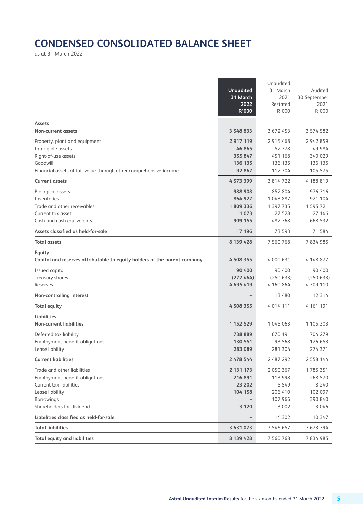# **CONDENSED CONSOLIDATED BALANCE SHEET**

as at 31 March 2022

|                                                                                     | <b>Unaudited</b><br>31 March<br>2022<br>R'000 | Unaudited<br>31 March<br>2021<br>Restated<br>R'000 | Audited<br>30 September<br>2021<br>R'000 |
|-------------------------------------------------------------------------------------|-----------------------------------------------|----------------------------------------------------|------------------------------------------|
| Assets                                                                              |                                               |                                                    |                                          |
| Non-current assets                                                                  | 3 548 833                                     | 3 672 453                                          | 3 574 582                                |
| Property, plant and equipment                                                       | 2 917 119                                     | 2 915 468                                          | 2 942 859                                |
| Intangible assets                                                                   | 46 865                                        | 52 378                                             | 49 984                                   |
| Right-of-use assets<br>Goodwill                                                     | 355 847<br>136 135                            | 451 168<br>136 135                                 | 340 029<br>136 135                       |
| Financial assets at fair value through other comprehensive income                   | 92 867                                        | 117 304                                            | 105 575                                  |
| <b>Current assets</b>                                                               | 4 573 399                                     | 3 8 1 4 7 2 2                                      | 4 188 819                                |
| <b>Biological assets</b>                                                            | 988 908                                       | 852 804                                            | 976 316                                  |
| Inventories                                                                         | 864 927                                       | 1 048 887                                          | 921 104                                  |
| Trade and other receivables                                                         | 1809336                                       | 1 397 735                                          | 1 595 721                                |
| Current tax asset                                                                   | 1073                                          | 27 5 28                                            | 27 146                                   |
| Cash and cash equivalents                                                           | 909 155                                       | 487768                                             | 668 532                                  |
| Assets classified as held-for-sale                                                  | 17 196                                        | 73 593                                             | 71 584                                   |
| <b>Total assets</b>                                                                 | 8 139 428                                     | 7 560 768                                          | 7834985                                  |
| Equity<br>Capital and reserves attributable to equity holders of the parent company | 4 508 355                                     | 4 000 631                                          | 4 148 877                                |
| Issued capital                                                                      | 90 400                                        | 90 400                                             | 90 400                                   |
| Treasury shares                                                                     | (277 464)                                     | (250633)                                           | (250633)                                 |
| Reserves                                                                            | 4 695 419                                     | 4 160 864                                          | 4 309 110                                |
| Non-controlling interest                                                            | $\overline{\phantom{0}}$                      | 13 480                                             | 12 3 14                                  |
| <b>Total equity</b>                                                                 | 4 508 355                                     | 4 014 111                                          | 4 161 191                                |
| Liabilities                                                                         |                                               |                                                    |                                          |
| <b>Non-current liabilities</b>                                                      | 1 152 529                                     | 1 045 063                                          | 1 105 303                                |
| Deferred tax liability                                                              | 738 889                                       | 670 191                                            | 704 279                                  |
| <b>Employment benefit obligations</b>                                               | 130 551                                       | 93 5 68                                            | 126 653                                  |
| Lease liability                                                                     | 283 089                                       | 281 304<br>2 487 292                               | 274 371<br>2 558 144                     |
| <b>Current liabilities</b>                                                          | 2 478 544                                     |                                                    |                                          |
| Trade and other liabilities                                                         | 2 131 173                                     | 2 0 5 0 3 6 7                                      | 1785351                                  |
| <b>Employment benefit obligations</b><br>Current tax liabilities                    | 216 891<br>23 202                             | 113 998<br>5 549                                   | 268 570<br>8 2 4 0                       |
| Lease liability                                                                     | 104 158                                       | 206 410                                            | 102 097                                  |
| Borrowings                                                                          |                                               | 107 966                                            | 390 840                                  |
| Shareholders for dividend                                                           | 3 1 2 0                                       | 3 0 0 2                                            | 3 0 4 6                                  |
| Liabilities classified as held-for-sale                                             |                                               | 14 302                                             | 10 347                                   |
| <b>Total liabilities</b>                                                            | 3 631 073                                     | 3 546 657                                          | 3 673 794                                |
| <b>Total equity and liabilities</b>                                                 | 8 139 428                                     | 7 560 768                                          | 7834985                                  |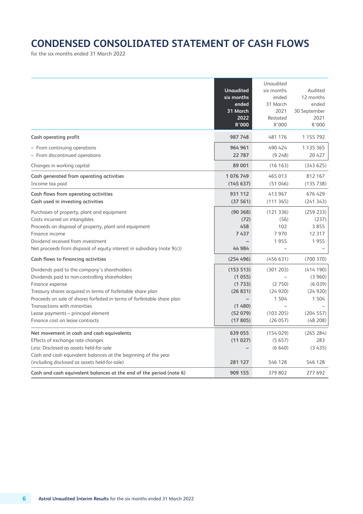# **CONDENSED CONSOLIDATED STATEMENT OF CASH FLOWS**

for the six months ended 31 March 2022

|                                                                                                                                                                                                                                                                                                                                                                      | <b>Unaudited</b><br>six months<br>ended<br>31 March<br>2022<br>R'000     | Unaudited<br>six months<br>ended<br>31 March<br>2021<br>Restated<br>R'000 | Audited<br>12 months<br>ended<br>30 September<br>2021<br>R'000          |
|----------------------------------------------------------------------------------------------------------------------------------------------------------------------------------------------------------------------------------------------------------------------------------------------------------------------------------------------------------------------|--------------------------------------------------------------------------|---------------------------------------------------------------------------|-------------------------------------------------------------------------|
| Cash operating profit                                                                                                                                                                                                                                                                                                                                                | 987 748                                                                  | 481 176                                                                   | 1 1 5 7 9 2                                                             |
| - From continuing operations<br>- From discontinued operations                                                                                                                                                                                                                                                                                                       | 964 961<br>22787                                                         | 490 424<br>(9248)                                                         | 1 1 3 5 3 6 5<br>20 4 27                                                |
| Changes in working capital                                                                                                                                                                                                                                                                                                                                           | 89 001                                                                   | (16 163)                                                                  | (343625)                                                                |
| Cash generated from operating activities<br>Income tax paid                                                                                                                                                                                                                                                                                                          | 1076749<br>(145637)                                                      | 465 013<br>(51046)                                                        | 812 167<br>(135738)                                                     |
| Cash flows from operating activities<br>Cash used in investing activities                                                                                                                                                                                                                                                                                            | 931 112<br>(37561)                                                       | 413 967<br>(111365)                                                       | 676 429<br>(241343)                                                     |
| Purchases of property, plant and equipment<br>Costs incurred on intangibles<br>Proceeds on disposal of property, plant and equipment<br>Finance income<br>Dividend received from investment<br>Net proceeds from disposal of equity interest in subsidiary (note $9(c)$ )                                                                                            | (90368)<br>(72)<br>458<br>7437<br>44 984                                 | (121 336)<br>(56)<br>102<br>7970<br>1955                                  | (259 233)<br>(237)<br>3855<br>12 3 17<br>1955                           |
| Cash flows to financing activities                                                                                                                                                                                                                                                                                                                                   | (254 496)                                                                | (456631)                                                                  | (700370)                                                                |
| Dividends paid to the company's shareholders<br>Dividends paid to non-controlling shareholders<br>Finance expense<br>Treasury shares acquired in terms of forfeitable share plan<br>Proceeds on sale of shares forfeited in terms of forfeitable share plan<br>Transactions with minorities<br>Lease payments - principal element<br>Finance cost on lease contracts | (153 513)<br>(1055)<br>(1733)<br>(26831)<br>(1480)<br>(52079)<br>(17805) | (301 203)<br>(2750)<br>(24920)<br>1 504<br>(103 205)<br>(26057)           | (414190)<br>(3960)<br>(6039)<br>(24920)<br>1 504<br>(204557)<br>(48208) |
| Net movement in cash and cash equivalents<br>Effects of exchange rate changes<br>Less: Disclosed as assets held-for-sale<br>Cash and cash equivalent balances at the beginning of the year                                                                                                                                                                           | 639 055<br>(11027)                                                       | (154029)<br>(5657)<br>(6640)                                              | (265 284)<br>283<br>(3435)                                              |
| (including disclosed as assets held-for-sale)<br>Cash and cash equivalent balances at the end of the period (note 6)                                                                                                                                                                                                                                                 | 281 127<br>909 155                                                       | 546 128<br>379 802                                                        | 546 128<br>277 692                                                      |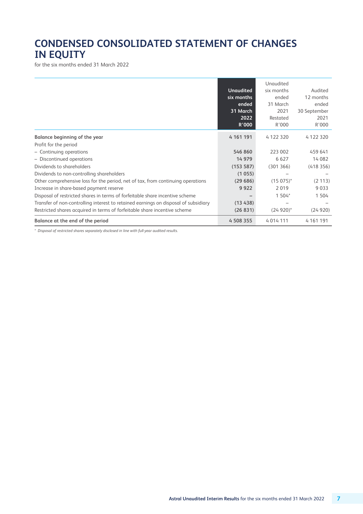# **CONDENSED CONSOLIDATED STATEMENT OF CHANGES IN EQUITY**

for the six months ended 31 March 2022

|                                                                                     | <b>Unaudited</b><br>six months<br>ended<br>31 March<br>2022<br><b>R'000</b> | Unaudited<br>six months<br>ended<br>31 March<br>2021<br>Restated<br>R'000 | Audited<br>12 months<br>ended<br>30 September<br>2021<br>R'000 |
|-------------------------------------------------------------------------------------|-----------------------------------------------------------------------------|---------------------------------------------------------------------------|----------------------------------------------------------------|
| Balance beginning of the year                                                       | 4 161 191                                                                   | 4122320                                                                   | 4 122 320                                                      |
| Profit for the period                                                               |                                                                             |                                                                           |                                                                |
| - Continuing operations                                                             | 546 860                                                                     | 223 002                                                                   | 459 641                                                        |
| - Discontinued operations                                                           | 14 979                                                                      | 6 6 2 7                                                                   | 14 082                                                         |
| Dividends to shareholders                                                           | (153 587)                                                                   | (301366)                                                                  | (418356)                                                       |
| Dividends to non-controlling shareholders                                           | (1055)                                                                      |                                                                           |                                                                |
| Other comprehensive loss for the period, net of tax, from continuing operations     | (29686)                                                                     | $(15075)^{*}$                                                             | (2 113)                                                        |
| Increase in share-based payment reserve                                             | 9922                                                                        | 2019                                                                      | 9033                                                           |
| Disposal of restricted shares in terms of forfeitable share incentive scheme        |                                                                             | 1 504*                                                                    | 1 504                                                          |
| Transfer of non-controlling interest to retained earnings on disposal of subsidiary | (13438)                                                                     |                                                                           |                                                                |
| Restricted shares acquired in terms of forfeitable share incentive scheme           | (26 831)                                                                    | $(24920)^*$                                                               | (24920)                                                        |
| Balance at the end of the period                                                    | 4 508 355                                                                   | 4 0 1 4 1 1 1 1                                                           | 4 1 6 1 1 9 1                                                  |

*\* Disposal of restricted shares separately disclosed in line with full-year audited results.*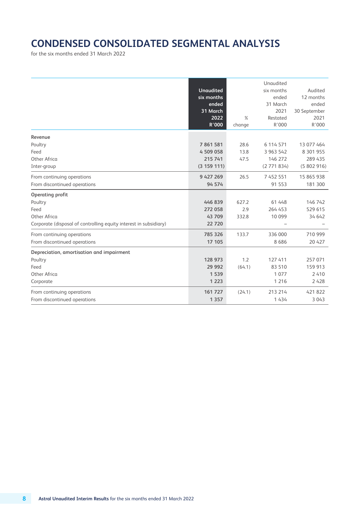# **CONDENSED CONSOLIDATED SEGMENTAL ANALYSIS**

for the six months ended 31 March 2022

|                                                                   | <b>Unaudited</b><br>six months<br>ended<br>31 March<br>2022<br>R'000 | $\%$<br>change | Unaudited<br>six months<br>ended<br>31 March<br>2021<br>Restated<br>R'000 | Audited<br>12 months<br>ended<br>30 September<br>2021<br>R'000 |
|-------------------------------------------------------------------|----------------------------------------------------------------------|----------------|---------------------------------------------------------------------------|----------------------------------------------------------------|
| Revenue                                                           |                                                                      |                |                                                                           |                                                                |
| Poultry                                                           | 7861581                                                              | 28.6           | 6 114 571                                                                 | 13 077 464                                                     |
| Feed                                                              | 4 509 058                                                            | 13.8           | 3 963 542                                                                 | 8 301 955                                                      |
| Other Africa                                                      | 215 741                                                              | 47.5           | 146 272                                                                   | 289 435                                                        |
| Inter-group                                                       | (3 159 111)                                                          |                | (2771834)                                                                 | (5802916)                                                      |
| From continuing operations                                        | 9 427 269                                                            | 26.5           | 7 4 5 2 5 5 1                                                             | 15 865 938                                                     |
| From discontinued operations                                      | 94 574                                                               |                | 91 553                                                                    | 181 300                                                        |
| Operating profit                                                  |                                                                      |                |                                                                           |                                                                |
| Poultry                                                           | 446839                                                               | 627.2          | 61 448                                                                    | 146 742                                                        |
| Feed                                                              | 272 058                                                              | 2.9            | 264 453                                                                   | 529 615                                                        |
| Other Africa                                                      | 43 709                                                               | 332.8          | 10 099                                                                    | 34 642                                                         |
| Corporate (disposal of controlling equity interest in subsidiary) | 22720                                                                |                |                                                                           |                                                                |
| From continuing operations                                        | 785 326                                                              | 133.7          | 336 000                                                                   | 710 999                                                        |
| From discontinued operations                                      | 17 105                                                               |                | 8686                                                                      | 20 4 27                                                        |
| Depreciation, amortisation and impairment                         |                                                                      |                |                                                                           |                                                                |
| Poultry                                                           | 128 973                                                              | 1.2            | 127 411                                                                   | 257 071                                                        |
| Feed                                                              | 29 9 9 2                                                             | (64.1)         | 83 510                                                                    | 159 913                                                        |
| Other Africa                                                      | 1 5 3 9                                                              |                | 1077                                                                      | 2410                                                           |
| Corporate                                                         | 1 2 2 3                                                              |                | 1 2 1 6                                                                   | 2 4 2 8                                                        |
| From continuing operations                                        | 161 727                                                              | (24.1)         | 213 214                                                                   | 421 822                                                        |
| From discontinued operations                                      | 1 3 5 7                                                              |                | 1 4 3 4                                                                   | 3 0 4 3                                                        |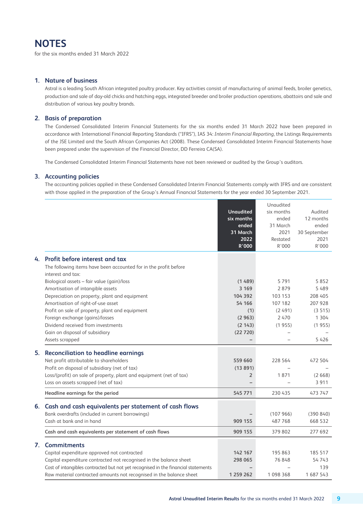### **NOTES**

for the six months ended 31 March 2022

### **1. Nature of business**

 Astral is a leading South African integrated poultry producer. Key activities consist of manufacturing of animal feeds, broiler genetics, production and sale of day-old chicks and hatching eggs, integrated breeder and broiler production operations, abattoirs and sale and distribution of various key poultry brands.

### **2. Basis of preparation**

 The Condensed Consolidated Interim Financial Statements for the six months ended 31 March 2022 have been prepared in accordance with International Financial Reporting Standards ("IFRS"), IAS 34: *Interim Financial Reporting*, the Listings Requirements of the JSE Limited and the South African Companies Act (2008). These Condensed Consolidated Interim Financial Statements have been prepared under the supervision of the Financial Director, DD Ferreira CA(SA).

The Condensed Consolidated Interim Financial Statements have not been reviewed or audited by the Group's auditors.

### **3. Accounting policies**

 The accounting policies applied in these Condensed Consolidated Interim Financial Statements comply with IFRS and are consistent with those applied in the preparation of the Group's Annual Financial Statements for the year ended 30 September 2021.

|              |                                                                                   |                  | Unaudited  |              |
|--------------|-----------------------------------------------------------------------------------|------------------|------------|--------------|
|              |                                                                                   | <b>Unaudited</b> | six months | Audited      |
|              |                                                                                   | six months       | ended      | 12 months    |
|              |                                                                                   | ended            | 31 March   | ended        |
|              |                                                                                   | 31 March         | 2021       | 30 September |
|              |                                                                                   | 2022             | Restated   | 2021         |
|              |                                                                                   | R'000            | R'000      | R'000        |
| 4.           | Profit before interest and tax                                                    |                  |            |              |
|              | The following items have been accounted for in the profit before                  |                  |            |              |
|              | interest and tax:                                                                 |                  |            |              |
|              | Biological assets - fair value (gain)/loss                                        | (1489)           | 5791       | 5852         |
|              | Amortisation of intangible assets                                                 | 3 1 6 9          | 2879       | 5489         |
|              | Depreciation on property, plant and equipment                                     | 104 392          | 103 153    | 208 405      |
|              | Amortisation of right-of-use asset                                                | 54 166           | 107 182    | 207 928      |
|              | Profit on sale of property, plant and equipment                                   | (1)              | (2491)     | (3515)       |
|              | Foreign exchange (gains)/losses                                                   | (2963)           | 2470       | 1 3 0 4      |
|              | Dividend received from investments                                                | (2143)           | (1955)     | (1955)       |
|              | Gain on disposal of subsidiary                                                    | (22720)          |            |              |
|              | Assets scrapped                                                                   |                  |            | 5 4 2 6      |
| 5.           | <b>Reconciliation to headline earnings</b>                                        |                  |            |              |
|              | Net profit attributable to shareholders                                           | 559 660          | 228 564    | 472 504      |
|              | Profit on disposal of subsidiary (net of tax)                                     | (13891)          |            |              |
|              | Loss/(profit) on sale of property, plant and equipment (net of tax)               | $\overline{2}$   | 1871       | (2668)       |
|              | Loss on assets scrapped (net of tax)                                              |                  |            | 3 9 1 1      |
|              | Headline earnings for the period                                                  | 545 771          | 230 435    | 473 747      |
|              |                                                                                   |                  |            |              |
| 6.           | Cash and cash equivalents per statement of cash flows                             |                  |            |              |
|              | Bank overdrafts (included in current borrowings)                                  |                  | (107966)   | (390 840)    |
|              | Cash at bank and in hand                                                          | 909 155          | 487768     | 668 532      |
|              | Cash and cash equivalents per statement of cash flows                             | 909 155          | 379 802    | 277 692      |
| $\mathbf{7}$ | <b>Commitments</b>                                                                |                  |            |              |
|              | Capital expenditure approved not contracted                                       | 142 167          | 195 863    | 185 517      |
|              | Capital expenditure contracted not recognised in the balance sheet                | 298 065          | 76848      | 54743        |
|              | Cost of intangibles contracted but not yet recognised in the financial statements |                  |            | 139          |
|              | Raw material contracted amounts not recognised in the balance sheet               | 1 259 262        | 1 098 368  | 1 687 543    |
|              |                                                                                   |                  |            |              |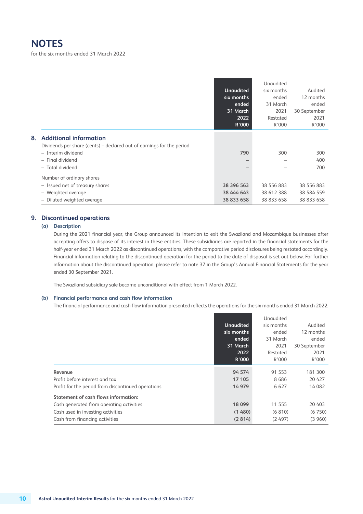### **NOTES**

for the six months ended 31 March 2022

|    |                                                                                                        | <b>Unaudited</b><br>six months<br>ended<br>31 March<br>2022<br>R'000 | Unaudited<br>six months<br>ended<br>31 March<br>2021<br>Restated<br>R'000 | Audited<br>12 months<br>ended<br>30 September<br>2021<br>R'000 |
|----|--------------------------------------------------------------------------------------------------------|----------------------------------------------------------------------|---------------------------------------------------------------------------|----------------------------------------------------------------|
| 8. | <b>Additional information</b><br>Dividends per share (cents) – declared out of earnings for the period |                                                                      |                                                                           |                                                                |
|    | - Interim dividend                                                                                     | 790                                                                  | 300                                                                       | 300                                                            |
|    | - Final dividend                                                                                       |                                                                      |                                                                           | 400                                                            |
|    | - Total dividend                                                                                       | $\qquad \qquad$                                                      |                                                                           | 700                                                            |
|    | Number of ordinary shares                                                                              |                                                                      |                                                                           |                                                                |
|    | - Issued net of treasury shares                                                                        | 38 396 563                                                           | 38 556 883                                                                | 38 556 883                                                     |
|    | - Weighted average                                                                                     | 38 444 643                                                           | 38 612 388                                                                | 38 584 559                                                     |
|    | - Diluted weighted average                                                                             | 38 833 658                                                           | 38 833 658                                                                | 38 833 658                                                     |
|    |                                                                                                        |                                                                      |                                                                           |                                                                |

### **9. Discontinued operations**

#### **(a) Description**

 During the 2021 financial year, the Group announced its intention to exit the Swaziland and Mozambique businesses after accepting offers to dispose of its interest in these entities. These subsidiaries are reported in the financial statements for the half-year ended 31 March 2022 as discontinued operations, with the comparative period disclosures being restated accordingly. Financial information relating to the discontinued operation for the period to the date of disposal is set out below. For further information about the discontinued operation, please refer to note 37 in the Group's Annual Financial Statements for the year ended 30 September 2021.

The Swaziland subsidiary sale became unconditional with effect from 1 March 2022.

#### **(b) Financial performance and cash flow information**

The financial performance and cash flow information presented reflects the operations for the six months ended 31 March 2022.

|                                                    |                  | Unaudited  |              |
|----------------------------------------------------|------------------|------------|--------------|
|                                                    | <b>Unaudited</b> | six months | Audited      |
|                                                    | six months       | ended      | 12 months    |
|                                                    | ended            | 31 March   | ended        |
|                                                    | 31 March         | 2021       | 30 September |
|                                                    | 2022             | Restated   | 2021         |
|                                                    | R'000            | R'000      | R'000        |
| Revenue                                            | 94 574           | 91 553     | 181 300      |
| Profit before interest and tax                     | 17 105           | 8686       | 20 4 27      |
| Profit for the period from discontinued operations | 14 979           | 6 6 2 7    | 14 082       |
| Statement of cash flows information:               |                  |            |              |
| Cash generated from operating activities           | 18 099           | 11 555     | 20 403       |
| Cash used in investing activities                  | (1480)           | (6810)     | (6750)       |
| Cash from financing activities                     | (2814)           | (2497)     | (3960)       |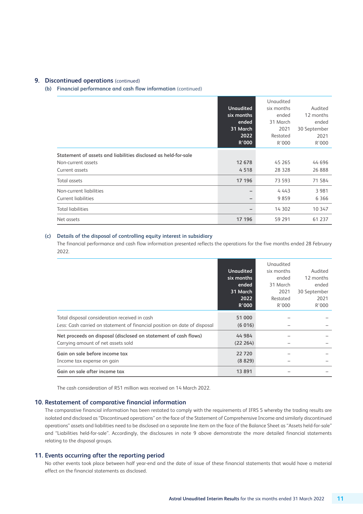### **9. Discontinued operations** (continued)

**(b) Financial performance and cash flow information** (continued)

|                                                                                                        | <b>Unaudited</b><br>six months<br>ended<br>31 March<br>2022<br>R'000 | Unaudited<br>six months<br>ended<br>31 March<br>2021<br>Restated<br>R'000 | Audited<br>12 months<br>ended<br>30 September<br>2021<br>R'000 |
|--------------------------------------------------------------------------------------------------------|----------------------------------------------------------------------|---------------------------------------------------------------------------|----------------------------------------------------------------|
| Statement of assets and liabilities disclosed as held-for-sale<br>Non-current assets<br>Current assets | 12 678<br>4518                                                       | 45 265<br>28 3 28                                                         | 44 696<br>26 888                                               |
| Total assets                                                                                           | 17 196                                                               | 73 593                                                                    | 71 584                                                         |
| Non-current liabilities<br><b>Current liabilities</b>                                                  |                                                                      | 4 4 4 3<br>9859                                                           | 3 9 8 1<br>6 3 6 6                                             |
| <b>Total liabilities</b>                                                                               |                                                                      | 14 302                                                                    | 10 347                                                         |
| Net assets                                                                                             | 17 196                                                               | 59 291                                                                    | 61 237                                                         |

#### **(c) Details of the disposal of controlling equity interest in subsidiary**

 The financial performance and cash flow information presented reflects the operations for the five months ended 28 February 2022.

|                                                                                                                            | <b>Unaudited</b><br>six months<br>ended<br>31 March<br>2022<br>R'000 | Unaudited<br>six months<br>ended<br>31 March<br>2021<br>Restated<br>R'000 | Audited<br>12 months<br>ended<br>30 September<br>2021<br>R'000 |
|----------------------------------------------------------------------------------------------------------------------------|----------------------------------------------------------------------|---------------------------------------------------------------------------|----------------------------------------------------------------|
| Total disposal consideration received in cash<br>Less: Cash carried on statement of financial position on date of disposal | 51 000<br>(6016)                                                     |                                                                           |                                                                |
| Net proceeds on disposal (disclosed on statement of cash flows)<br>Carrying amount of net assets sold                      | 44 984<br>(22 264)                                                   |                                                                           |                                                                |
| Gain on sale before income tax<br>Income tax expense on gain                                                               | 22720<br>(8829)                                                      |                                                                           |                                                                |
| Gain on sale after income tax                                                                                              | 13 891                                                               |                                                                           |                                                                |

The cash consideration of R51 million was received on 14 March 2022.

### **10. Restatement of comparative financial information**

 The comparative financial information has been restated to comply with the requirements of IFRS 5 whereby the trading results are isolated and disclosed as "Discontinued operations" on the face of the Statement of Comprehensive Income and similarly discontinued operations" assets and liabilities need to be disclosed on a separate line item on the face of the Balance Sheet as "Assets held-for-sale" and "Liabilities held-for-sale". Accordingly, the disclosures in note 9 above demonstrate the more detailed financial statements relating to the disposal groups.

### **11. Events occurring after the reporting period**

 No other events took place between half year-end and the date of issue of these financial statements that would have a material effect on the financial statements as disclosed.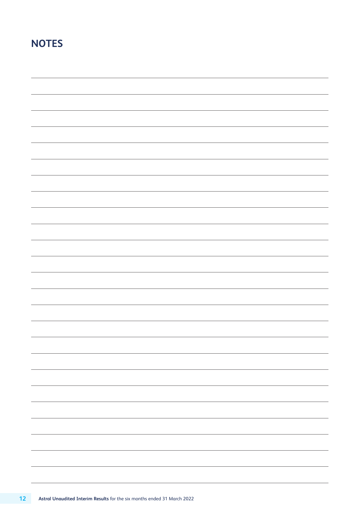# **NOTES**

| -                        |
|--------------------------|
|                          |
|                          |
|                          |
| -                        |
|                          |
|                          |
|                          |
|                          |
|                          |
|                          |
|                          |
|                          |
|                          |
|                          |
|                          |
|                          |
| $\overline{\phantom{0}}$ |
|                          |
|                          |
|                          |
| $\overline{\phantom{0}}$ |
|                          |
|                          |
|                          |
|                          |
|                          |
| -                        |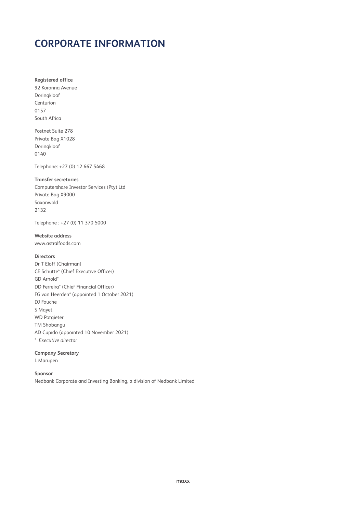## **CORPORATE INFORMATION**

**Registered office** 92 Koranna Avenue Doringkloof Centurion 0157 South Africa

Postnet Suite 278 Private Bag X1028 Doringkloof 0140

Telephone: +27 (0) 12 667 5468

### **Transfer secretaries**

Computershare Investor Services (Pty) Ltd Private Bag X9000 Saxonwold 2132

Telephone : +27 (0) 11 370 5000

### **Website address**

www.astralfoods.com

### **Directors**

Dr T Eloff (Chairman) CE Schutte\* (Chief Executive Officer) GD Arnold\* DD Ferreira\* (Chief Financial Officer) FG van Heerden\* (appointed 1 October 2021) DJ Fouche S Mayet WD Potgieter TM Shabangu AD Cupido (appointed 10 November 2021) *\* Executive director*

### **Company Secretary**

L Marupen

### **Sponsor**

Nedbank Corporate and Investing Banking, a division of Nedbank Limited